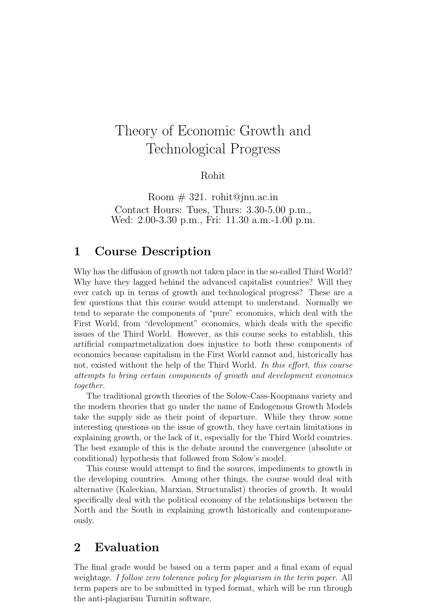# Theory of Economic Growth and Technological Progress

Rohit

Room  $\#$  321. rohit@jnu.ac.in Contact Hours: Tues, Thurs: 3.30-5.00 p.m., Wed: 2.00-3.30 p.m., Fri: 11.30 a.m.-1.00 p.m.

# 1 Course Description

Why has the diffusion of growth not taken place in the so-called Third World? Why have they lagged behind the advanced capitalist countries? Will they ever catch up in terms of growth and technological progress? These are a few questions that this course would attempt to understand. Normally we tend to separate the components of "pure" economics, which deal with the First World, from "development" economics, which deals with the specific issues of the Third World. However, as this course seeks to establish, this artificial compartmetalization does injustice to both these components of economics because capitalism in the First World cannot and, historically has not, existed without the help of the Third World. In this effort, this course attempts to bring certain components of growth and development economics together.

The traditional growth theories of the Solow-Cass-Koopmans variety and the modern theories that go under the name of Endogenous Growth Models take the supply side as their point of departure. While they throw some interesting questions on the issue of growth, they have certain limitations in explaining growth, or the lack of it, especially for the Third World countries. The best example of this is the debate around the convergence (absolute or conditional) hypothesis that followed from Solow's model.

This course would attempt to find the sources, impediments to growth in the developing countries. Among other things, the course would deal with alternative (Kaleckian, Marxian, Structuralist) theories of growth. It would specifically deal with the political economy of the relationships between the North and the South in explaining growth historically and contemporaneously.

### 2 Evaluation

The final grade would be based on a term paper and a final exam of equal weightage. I follow zero tolerance policy for plagiarism in the term paper. All term papers are to be submitted in typed format, which will be run through the anti-plagiarism Turnitin software.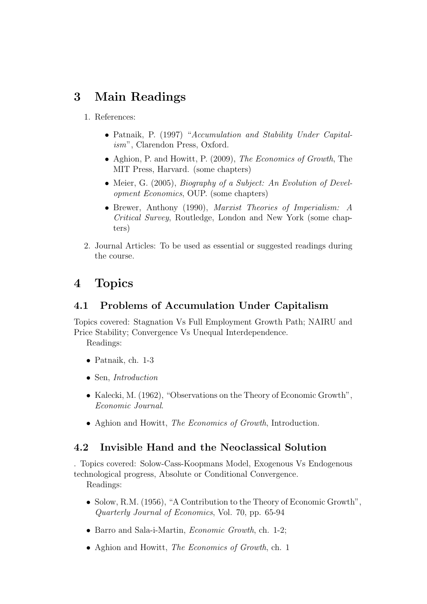# 3 Main Readings

- 1. References:
	- Patnaik, P. (1997) "Accumulation and Stability Under Capitalism", Clarendon Press, Oxford.
	- Aghion, P. and Howitt, P. (2009), The Economics of Growth, The MIT Press, Harvard. (some chapters)
	- Meier, G. (2005), *Biography of a Subject: An Evolution of Devel*opment Economics, OUP. (some chapters)
	- Brewer, Anthony (1990), Marxist Theories of Imperialism: A Critical Survey, Routledge, London and New York (some chapters)
- 2. Journal Articles: To be used as essential or suggested readings during the course.

# 4 Topics

### 4.1 Problems of Accumulation Under Capitalism

Topics covered: Stagnation Vs Full Employment Growth Path; NAIRU and Price Stability; Convergence Vs Unequal Interdependence.

Readings:

- Patnaik, ch. 1-3
- Sen, *Introduction*
- Kalecki, M. (1962), "Observations on the Theory of Economic Growth", Economic Journal.
- Aghion and Howitt, The Economics of Growth, Introduction.

#### 4.2 Invisible Hand and the Neoclassical Solution

. Topics covered: Solow-Cass-Koopmans Model, Exogenous Vs Endogenous technological progress, Absolute or Conditional Convergence. Readings:

- Solow, R.M. (1956), "A Contribution to the Theory of Economic Growth", Quarterly Journal of Economics, Vol. 70, pp. 65-94
- Barro and Sala-i-Martin, Economic Growth, ch. 1-2;
- Aghion and Howitt, *The Economics of Growth*, ch. 1